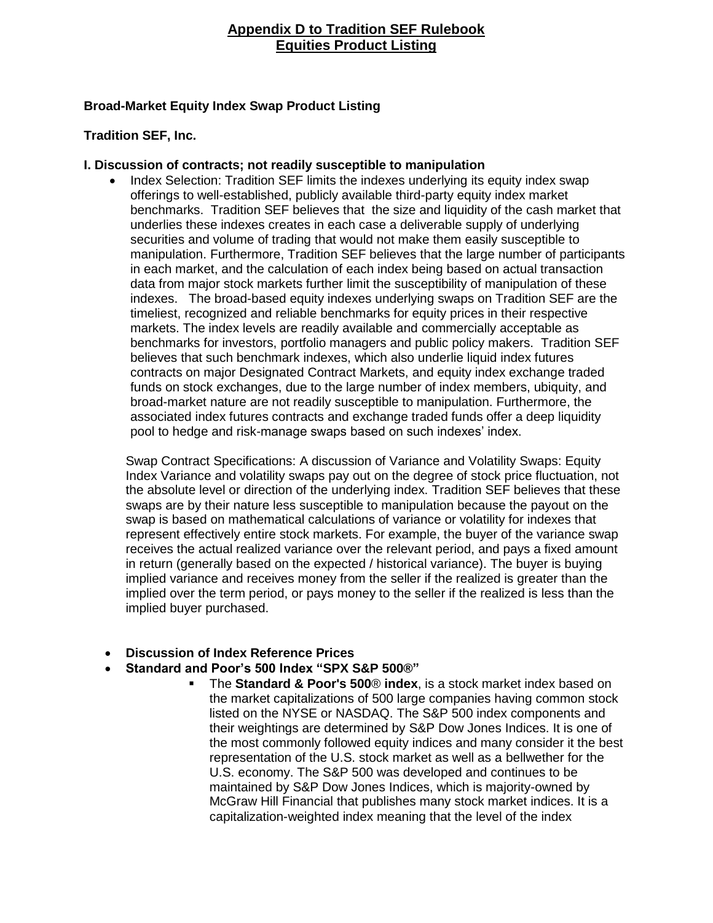## **Appendix D to Tradition SEF Rulebook Equities Product Listing**

## **Broad-Market Equity Index Swap Product Listing**

#### **Tradition SEF, Inc.**

#### **I. Discussion of contracts; not readily susceptible to manipulation**

• Index Selection: Tradition SEF limits the indexes underlying its equity index swap offerings to well-established, publicly available third-party equity index market benchmarks. Tradition SEF believes that the size and liquidity of the cash market that underlies these indexes creates in each case a deliverable supply of underlying securities and volume of trading that would not make them easily susceptible to manipulation. Furthermore, Tradition SEF believes that the large number of participants in each market, and the calculation of each index being based on actual transaction data from major stock markets further limit the susceptibility of manipulation of these indexes. The broad-based equity indexes underlying swaps on Tradition SEF are the timeliest, recognized and reliable benchmarks for equity prices in their respective markets. The index levels are readily available and commercially acceptable as benchmarks for investors, portfolio managers and public policy makers. Tradition SEF believes that such benchmark indexes, which also underlie liquid index futures contracts on major Designated Contract Markets, and equity index exchange traded funds on stock exchanges, due to the large number of index members, ubiquity, and broad-market nature are not readily susceptible to manipulation. Furthermore, the associated index futures contracts and exchange traded funds offer a deep liquidity pool to hedge and risk-manage swaps based on such indexes' index.

Swap Contract Specifications: A discussion of Variance and Volatility Swaps: Equity Index Variance and volatility swaps pay out on the degree of stock price fluctuation, not the absolute level or direction of the underlying index. Tradition SEF believes that these swaps are by their nature less susceptible to manipulation because the payout on the swap is based on mathematical calculations of variance or volatility for indexes that represent effectively entire stock markets. For example, the buyer of the variance swap receives the actual realized variance over the relevant period, and pays a fixed amount in return (generally based on the expected / historical variance). The buyer is buying implied variance and receives money from the seller if the realized is greater than the implied over the term period, or pays money to the seller if the realized is less than the implied buyer purchased.

- **Discussion of Index Reference Prices**
- **Standard and Poor's 500 Index "SPX S&P 500®"** 
	- The **Standard & Poor's 500**® **index**, is a [stock market index](http://en.wikipedia.org/wiki/Stock_market_index) based on the [market capitalizations](http://en.wikipedia.org/wiki/Market_capitalization) of 500 large companies having common stock listed on the [NYSE](http://en.wikipedia.org/wiki/NYSE) or [NASDAQ.](http://en.wikipedia.org/wiki/NASDAQ) The S&P 500 index components and their weightings are determined by [S&P Dow Jones Indices.](http://en.wikipedia.org/wiki/S%26P_Dow_Jones_Indices) It is one of the most commonly followed equity indices and many consider it the best representation of the U.S. stock market as well as a [bellwether](http://en.wikipedia.org/wiki/Bellwether) for the U.S. economy. The S&P 500 was developed and continues to be maintained by S&P Dow Jones Indices, which is majority-owned by [McGraw Hill Financial](http://en.wikipedia.org/wiki/McGraw_Hill_Financial) that publishes many stock market indices. It is a capitalization-weighted index meaning that the level of the index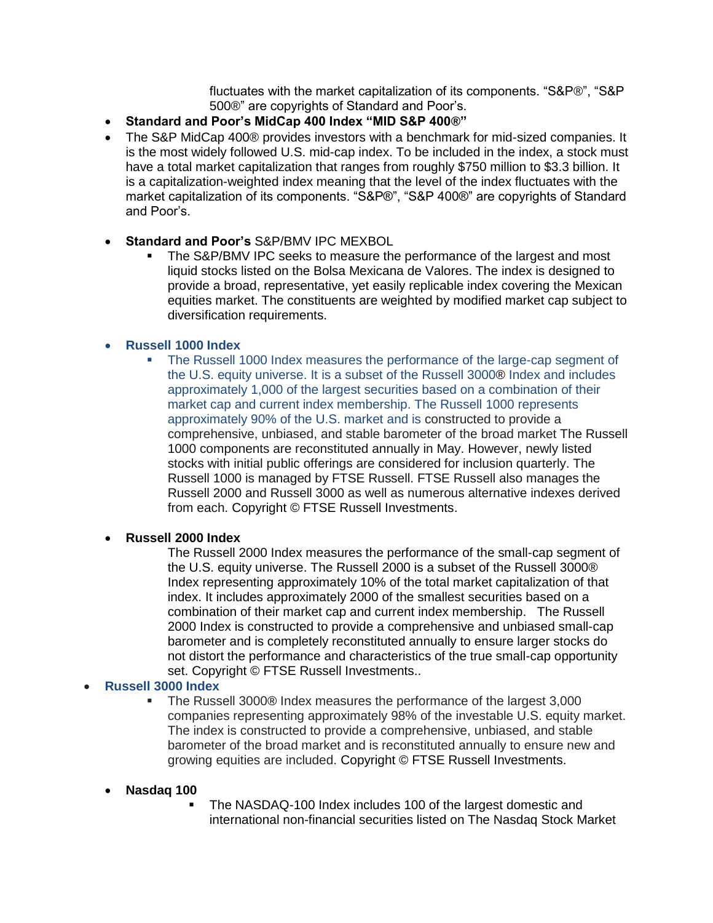fluctuates with the market capitalization of its components. "S&P®", "S&P 500®" are copyrights of Standard and Poor's.

- **Standard and Poor's MidCap 400 Index "MID S&P 400®"**
- The S&P MidCap 400® provides investors with a benchmark for mid-sized companies. It is the most widely followed U.S. mid-cap index. To be included in the index, a stock must have a total market capitalization that ranges from roughly \$750 million to \$3.3 billion. It is a capitalization-weighted index meaning that the level of the index fluctuates with the market capitalization of its components. "S&P®", "S&P 400®" are copyrights of Standard and Poor's.
- **Standard and Poor's** S&P/BMV IPC MEXBOL
	- The S&P/BMV IPC seeks to measure the performance of the largest and most liquid stocks listed on the Bolsa Mexicana de Valores. The index is designed to provide a broad, representative, yet easily replicable index covering the Mexican equities market. The constituents are weighted by modified market cap subject to diversification requirements.

## **Russell 1000 Index**

 The Russell 1000 Index measures the performance of the large-cap segment of the U.S. equity universe. It is a subset of the Russell 3000® Index and includes approximately 1,000 of the largest securities based on a combination of their market cap and current index membership. The Russell 1000 represents approximately 90% of the U.S. market and is constructed to provide a comprehensive, unbiased, and stable barometer of the broad market The Russell 1000 components are reconstituted annually in May. However, newly listed stocks with initial public offerings are considered for inclusion quarterly. The Russell 1000 is managed by FTSE Russell. FTSE Russell also manages the Russell 2000 and Russell 3000 as well as numerous alternative indexes derived from each. Copyright © FTSE Russell Investments.

#### **Russell 2000 Index**

The Russell 2000 Index measures the performance of the small-cap segment of the U.S. equity universe. The Russell 2000 is a subset of the Russell 3000® Index representing approximately 10% of the total market capitalization of that index. It includes approximately 2000 of the smallest securities based on a combination of their market cap and current index membership. The Russell 2000 Index is constructed to provide a comprehensive and unbiased small-cap barometer and is completely reconstituted annually to ensure larger stocks do not distort the performance and characteristics of the true small-cap opportunity set. Copyright © FTSE Russell Investments..

## **Russell 3000 Index**

 The Russell 3000® Index measures the performance of the largest 3,000 companies representing approximately 98% of the investable U.S. equity market. The index is constructed to provide a comprehensive, unbiased, and stable barometer of the broad market and is reconstituted annually to ensure new and growing equities are included. Copyright © FTSE Russell Investments.

#### **Nasdaq 100**

 The NASDAQ-100 Index includes 100 of the largest domestic and international non-financial securities listed on The Nasdaq Stock Market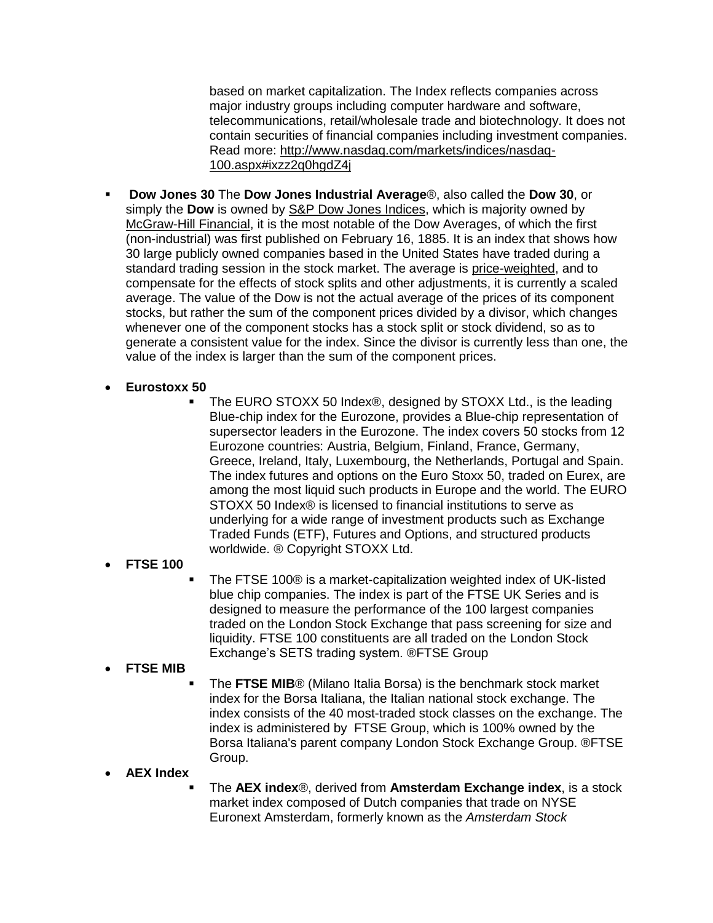based on market capitalization. The Index reflects companies across major industry groups including computer hardware and software, telecommunications, retail/wholesale trade and biotechnology. It does not contain securities of financial companies including investment companies. Read more: [http://www.nasdaq.com/markets/indices/nasdaq-](http://www.nasdaq.com/markets/indices/nasdaq-100.aspx#ixzz2q0hgdZ4j)[100.aspx#ixzz2q0hgdZ4j](http://www.nasdaq.com/markets/indices/nasdaq-100.aspx#ixzz2q0hgdZ4j)

- **Dow Jones 30** The **Dow Jones Industrial Average**®, also called the **Dow 30**, or simply the **Dow** is owned by [S&P Dow Jones Indices,](http://en.wikipedia.org/wiki/S%26P_Dow_Jones_Indices) which is majority owned by [McGraw-Hill Financial,](http://en.wikipedia.org/wiki/McGraw-Hill_Financial) it is the most notable of the Dow Averages, of which the first (non-industrial) was first published on February 16, 1885. It is an index that shows how 30 large publicly owned companies based in the United States have traded during a standard trading session in the stock market. The average is [price-weighted,](http://en.wikipedia.org/wiki/Price-weighted_index) and to compensate for the effects of stock splits and other adjustments, it is currently a [scaled](http://en.wikipedia.org/wiki/Weighted_mean)  [average.](http://en.wikipedia.org/wiki/Weighted_mean) The value of the Dow is not the actual average of the prices of its component stocks, but rather the sum of the component prices divided by a [divisor,](http://en.wikipedia.org/wiki/DJIA_divisor) which changes whenever one of the component stocks has a stock split or stock dividend, so as to generate a consistent value for the index. Since the divisor is currently less than one, the value of the index is larger than the sum of the component prices.
- **Eurostoxx 50**
	- The EURO STOXX 50 Index®, designed by STOXX Ltd., is the leading Blue-chip index for the Eurozone, provides a Blue-chip representation of supersector leaders in the Eurozone. The index covers 50 stocks from 12 Eurozone countries: Austria, Belgium, Finland, France, Germany, Greece, Ireland, Italy, Luxembourg, the Netherlands, Portugal and Spain. The index futures and options on the Euro Stoxx 50, traded on [Eurex,](http://en.wikipedia.org/wiki/Eurex) are among the most liquid such products in Europe and the world. The EURO STOXX 50 Index® is licensed to financial institutions to serve as underlying for a wide range of investment products such as Exchange Traded Funds (ETF), Futures and Options, and structured products worldwide. ® Copyright STOXX Ltd.

## **FTSE 100**

 The FTSE 100® is a market-capitalization weighted index of UK-listed blue chip companies. The index is part of the FTSE UK Series and is designed to measure the performance of the 100 largest companies traded on the London Stock Exchange that pass screening for size and liquidity. FTSE 100 constituents are all traded on the London Stock Exchange's SETS trading system. ®FTSE Group

## **FTSE MIB**

 The **FTSE MIB**® (Milano Italia Borsa) is the benchmark [stock market](http://en.wikipedia.org/wiki/Stock_market_index)  [index](http://en.wikipedia.org/wiki/Stock_market_index) for the [Borsa Italiana,](http://en.wikipedia.org/wiki/Borsa_Italiana) the Italian national stock exchange. The index consists of the 40 most-traded stock classes on the exchange. The index is administered by [FTSE Group,](http://en.wikipedia.org/wiki/FTSE_Group) which is 100% owned by the Borsa Italiana's parent company [London Stock Exchange Group.](http://en.wikipedia.org/wiki/London_Stock_Exchange_Group) ®FTSE Group.

## **AEX Index**

 The **AEX index**®, derived from **Amsterdam Exchange index**, is a [stock](http://en.wikipedia.org/wiki/Stock_market_index)  [market index](http://en.wikipedia.org/wiki/Stock_market_index) composed of Dutch companies that trade on [NYSE](http://en.wikipedia.org/wiki/Amsterdam_Stock_Exchange)  [Euronext Amsterdam,](http://en.wikipedia.org/wiki/Amsterdam_Stock_Exchange) formerly known as the *Amsterdam Stock*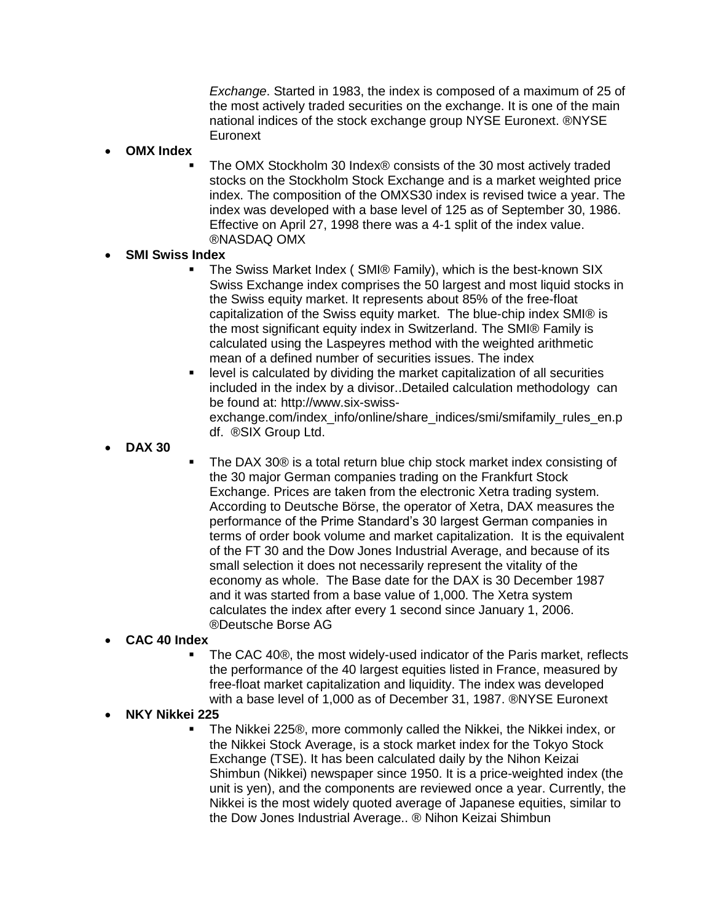*Exchange*. Started in 1983, the index is composed of a maximum of 25 of the most actively traded [securities](http://en.wikipedia.org/wiki/Security_(finance)) on the exchange. It is one of the main national indices of the stock exchange group NYSE [Euronext.](http://en.wikipedia.org/wiki/Euronext) [®NYSE](http://en.wikipedia.org/wiki/Euronext)  **[Euronext](http://en.wikipedia.org/wiki/Euronext)** 

#### **OMX Index**

 The OMX Stockholm 30 Index® consists of the 30 most actively traded stocks on the Stockholm Stock Exchange and is a market weighted price index. The composition of the OMXS30 index is revised twice a year. The index was developed with a base level of 125 as of September 30, 1986. Effective on April 27, 1998 there was a 4-1 split of the index value. ®NASDAQ OMX

#### **SMI Swiss Index**

- The Swiss Market Index ( SMI® Family), which is the best-known SIX Swiss Exchange index comprises the 50 largest and most liquid stocks in the Swiss equity market. It represents about 85% of the free-float capitalization of the Swiss equity market. The blue-chip index SMI® is the most significant equity index in Switzerland. The SMI® Family is calculated using the Laspeyres method with the weighted arithmetic mean of a defined number of securities issues. The index
- level is calculated by dividing the market capitalization of all securities included in the index by a divisor..Detailed calculation methodology can be found at: [http://www.six-swiss](http://www.six-swiss-exchange.com/index_info/online/share_indices/smi/smifamily_rules_en.pdf)[exchange.com/index\\_info/online/share\\_indices/smi/smifamily\\_rules\\_en.p](http://www.six-swiss-exchange.com/index_info/online/share_indices/smi/smifamily_rules_en.pdf) [df.](http://www.six-swiss-exchange.com/index_info/online/share_indices/smi/smifamily_rules_en.pdf) ®SIX Group Ltd.
- **DAX 30**
- The DAX 30® is a total return blue chip stock market index consisting of the 30 major German companies trading on the Frankfurt Stock Exchange. Prices are taken from the electronic Xetra trading system. According to Deutsche Börse, the operator of Xetra, DAX measures the performance of the Prime Standard's 30 largest German companies in terms of order book volume and market capitalization. It is the equivalent of the FT 30 and the Dow Jones Industrial Average, and because of its small selection it does not necessarily represent the vitality of the economy as whole. The Base date for the DAX is 30 December 1987 and it was started from a base value of 1,000. The Xetra system calculates the index after every 1 second since January 1, 2006. ®Deutsche Borse AG

#### **CAC 40 Index**

 The CAC 40®, the most widely-used indicator of the Paris market, reflects the performance of the 40 largest equities listed in France, measured by free-float market capitalization and liquidity. The index was developed with a base level of 1,000 as of December 31, 1987. ®NYSE Euronext

#### **NKY Nikkei 225**

 The Nikkei 225®, more commonly called the Nikkei, the Nikkei index, or the Nikkei Stock Average, is a stock market index for the Tokyo Stock Exchange (TSE). It has been calculated daily by the Nihon Keizai Shimbun (Nikkei) newspaper since 1950. It is a price-weighted index (the unit is yen), and the components are reviewed once a year. Currently, the Nikkei is the most widely quoted average of Japanese equities, similar to the Dow Jones Industrial Average.. ® Nihon Keizai Shimbun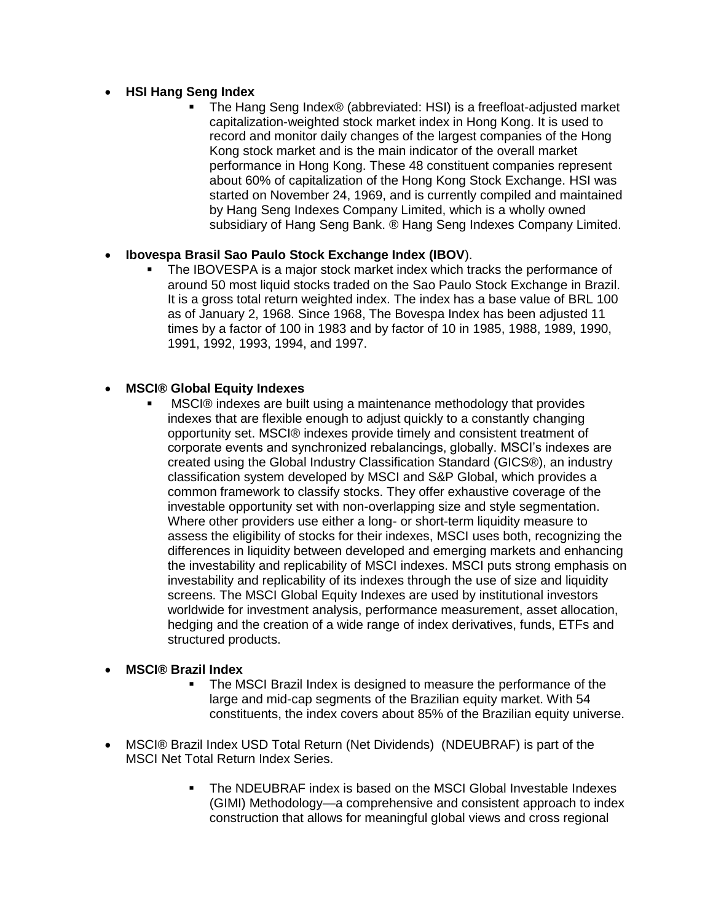## **HSI Hang Seng Index**

 The Hang Seng Index® (abbreviated: HSI) is a freefloat-adjusted market capitalization-weighted stock market index in Hong Kong. It is used to record and monitor daily changes of the largest companies of the Hong Kong stock market and is the main indicator of the overall market performance in Hong Kong. These 48 constituent companies represent about 60% of capitalization of the Hong Kong Stock Exchange. HSI was started on November 24, 1969, and is currently compiled and maintained by Hang Seng Indexes Company Limited, which is a wholly owned subsidiary of Hang Seng Bank. ® Hang Seng Indexes Company Limited.

## **Ibovespa Brasil Sao Paulo Stock Exchange Index (IBOV**).

 The IBOVESPA is a major stock market index which tracks the performance of around 50 most liquid stocks traded on the Sao Paulo Stock Exchange in Brazil. It is a gross total return weighted index. The index has a base value of BRL 100 as of January 2, 1968. Since 1968, The Bovespa Index has been adjusted 11 times by a factor of 100 in 1983 and by factor of 10 in 1985, 1988, 1989, 1990, 1991, 1992, 1993, 1994, and 1997.

## **MSCI® Global Equity Indexes**

 MSCI® indexes are built using a maintenance methodology that provides indexes that are flexible enough to adjust quickly to a constantly changing opportunity set. MSCI® indexes provide timely and consistent treatment of corporate events and synchronized rebalancings, globally. MSCI's indexes are created using the Global Industry Classification Standard (GICS®), an industry classification system developed by MSCI and S&P Global, which provides a common framework to classify stocks. They offer exhaustive coverage of the investable opportunity set with non-overlapping size and style segmentation. Where other providers use either a long- or short-term liquidity measure to assess the eligibility of stocks for their indexes, MSCI uses both, recognizing the differences in liquidity between developed and emerging markets and enhancing the investability and replicability of MSCI indexes. MSCI puts strong emphasis on investability and replicability of its indexes through the use of size and liquidity screens. The MSCI Global Equity Indexes are used by institutional investors worldwide for investment analysis, performance measurement, asset allocation, hedging and the creation of a wide range of index derivatives, funds, ETFs and structured products.

## **MSCI® Brazil Index**

- The MSCI Brazil Index is designed to measure the performance of the large and mid-cap segments of the Brazilian equity market. With 54 constituents, the index covers about 85% of the Brazilian equity universe.
- MSCI® Brazil Index USD Total Return (Net Dividends) (NDEUBRAF) is part of the MSCI Net Total Return Index Series.
	- The NDEUBRAF index is based on the MSCI Global Investable Indexes (GIMI) Methodology—a comprehensive and consistent approach to index construction that allows for meaningful global views and cross regional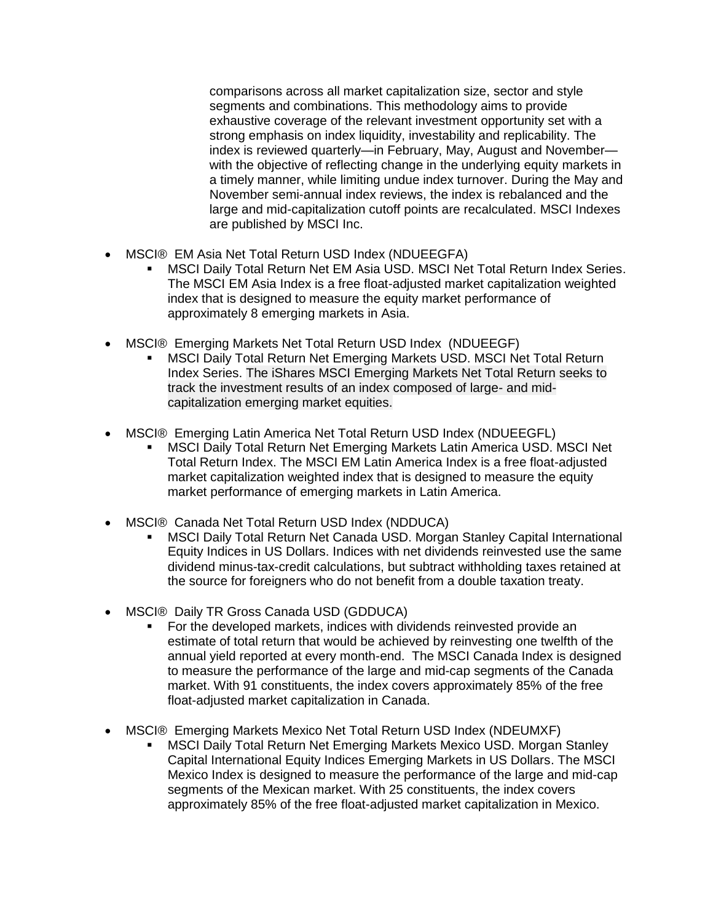comparisons across all market capitalization size, sector and style segments and combinations. This methodology aims to provide exhaustive coverage of the relevant investment opportunity set with a strong emphasis on index liquidity, investability and replicability. The index is reviewed quarterly—in February, May, August and November with the objective of reflecting change in the underlying equity markets in a timely manner, while limiting undue index turnover. During the May and November semi-annual index reviews, the index is rebalanced and the large and mid-capitalization cutoff points are recalculated. MSCI Indexes are published by MSCI Inc.

- MSCI® EM Asia Net Total Return USD Index (NDUEEGFA)
	- MSCI Daily Total Return Net EM Asia USD. MSCI Net Total Return Index Series. The MSCI EM Asia Index is a free float-adjusted market capitalization weighted index that is designed to measure the equity market performance of approximately 8 emerging markets in Asia.
- MSCI® Emerging Markets Net Total Return USD Index (NDUEEGF)
	- MSCI Daily Total Return Net Emerging Markets USD. MSCI Net Total Return Index Series. The iShares MSCI Emerging Markets Net Total Return seeks to track the investment results of an index composed of large- and midcapitalization emerging market equities.
- MSCI® Emerging Latin America Net Total Return USD Index (NDUEEGFL)
	- MSCI Daily Total Return Net Emerging Markets Latin America USD. MSCI Net Total Return Index. The MSCI EM Latin America Index is a free float-adjusted market capitalization weighted index that is designed to measure the equity market performance of emerging markets in Latin America.
- MSCI® Canada Net Total Return USD Index (NDDUCA)
	- MSCI Daily Total Return Net Canada USD. Morgan Stanley Capital International Equity Indices in US Dollars. Indices with net dividends reinvested use the same dividend minus-tax-credit calculations, but subtract withholding taxes retained at the source for foreigners who do not benefit from a double taxation treaty.
- MSCI® Daily TR Gross Canada USD (GDDUCA)
	- For the developed markets, indices with dividends reinvested provide an estimate of total return that would be achieved by reinvesting one twelfth of the annual yield reported at every month-end. The MSCI Canada Index is designed to measure the performance of the large and mid-cap segments of the Canada market. With 91 constituents, the index covers approximately 85% of the free float-adjusted market capitalization in Canada.
- MSCI® Emerging Markets Mexico Net Total Return USD Index (NDEUMXF)
	- MSCI Daily Total Return Net Emerging Markets Mexico USD. Morgan Stanley Capital International Equity Indices Emerging Markets in US Dollars. The MSCI Mexico Index is designed to measure the performance of the large and mid-cap segments of the Mexican market. With 25 constituents, the index covers approximately 85% of the free float-adjusted market capitalization in Mexico.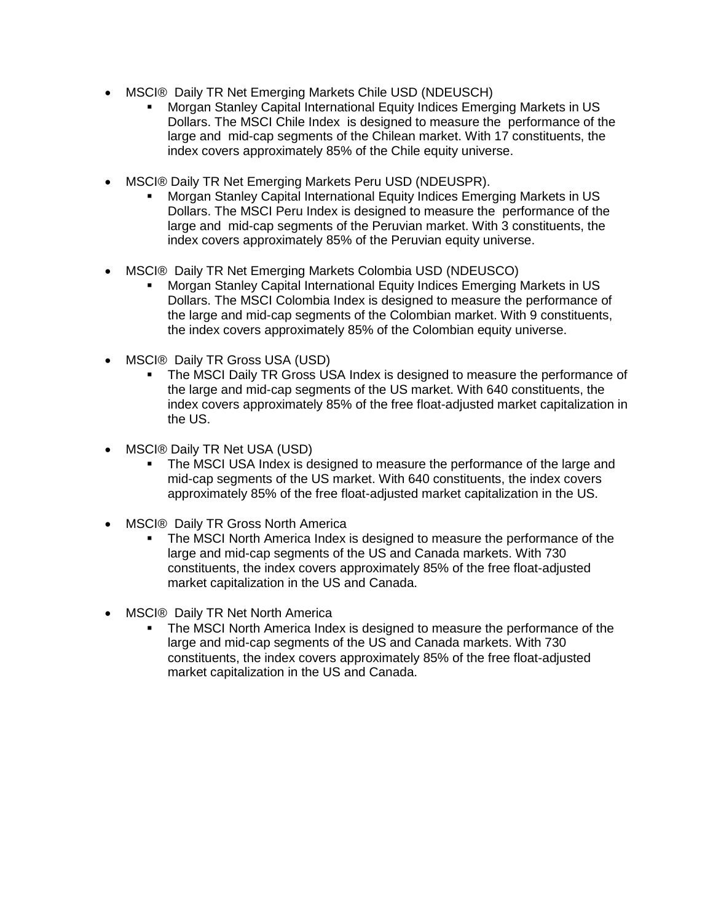- MSCI® Daily TR Net Emerging Markets Chile USD (NDEUSCH)
	- Morgan Stanley Capital International Equity Indices Emerging Markets in US Dollars. The MSCI Chile Index is designed to measure the performance of the large and mid-cap segments of the Chilean market. With 17 constituents, the index covers approximately 85% of the Chile equity universe.
- MSCI® Daily TR Net Emerging Markets Peru USD (NDEUSPR).
	- Morgan Stanley Capital International Equity Indices Emerging Markets in US Dollars. The MSCI Peru Index is designed to measure the performance of the large and mid-cap segments of the Peruvian market. With 3 constituents, the index covers approximately 85% of the Peruvian equity universe.
- MSCI® Daily TR Net Emerging Markets Colombia USD (NDEUSCO)
	- Morgan Stanley Capital International Equity Indices Emerging Markets in US Dollars. The MSCI Colombia Index is designed to measure the performance of the large and mid-cap segments of the Colombian market. With 9 constituents, the index covers approximately 85% of the Colombian equity universe.
- MSCI® Daily TR Gross USA (USD)
	- The MSCI Daily TR Gross USA Index is designed to measure the performance of the large and mid-cap segments of the US market. With 640 constituents, the index covers approximately 85% of the free float-adjusted market capitalization in the US.
- MSCI® Daily TR Net USA (USD)
	- The MSCI USA Index is designed to measure the performance of the large and mid-cap segments of the US market. With 640 constituents, the index covers approximately 85% of the free float-adjusted market capitalization in the US.
- MSCI® Daily TR Gross North America
	- The MSCI North America Index is designed to measure the performance of the large and mid-cap segments of the US and Canada markets. With 730 constituents, the index covers approximately 85% of the free float-adjusted market capitalization in the US and Canada.
- MSCI® Daily TR Net North America
	- The MSCI North America Index is designed to measure the performance of the large and mid-cap segments of the US and Canada markets. With 730 constituents, the index covers approximately 85% of the free float-adjusted market capitalization in the US and Canada.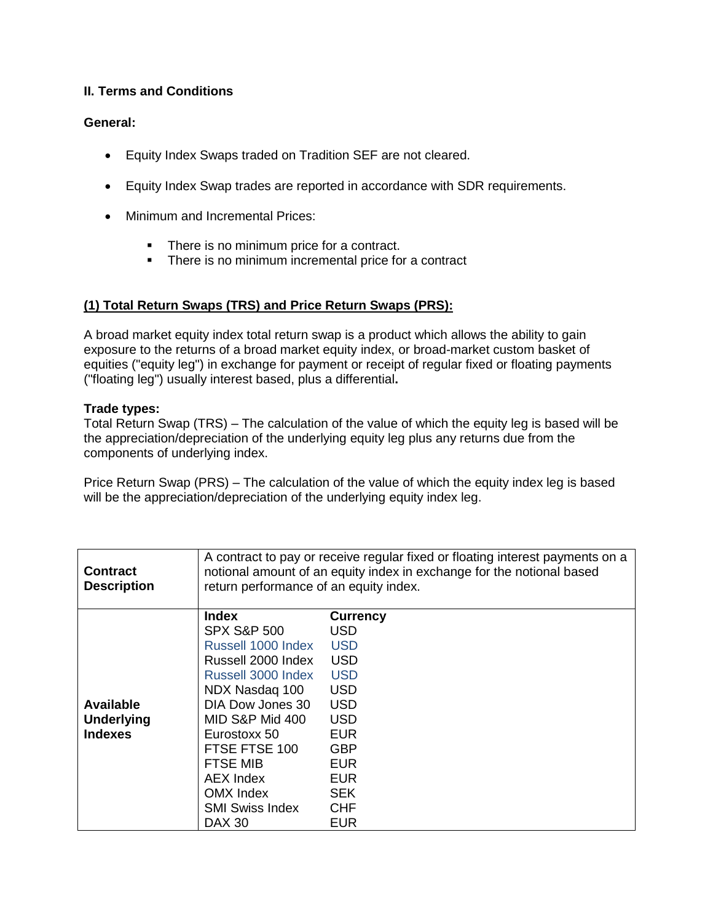## **II. Terms and Conditions**

#### **General:**

- Equity Index Swaps traded on Tradition SEF are not cleared.
- Equity Index Swap trades are reported in accordance with SDR requirements.
- Minimum and Incremental Prices:
	- There is no minimum price for a contract.
	- **There is no minimum incremental price for a contract**

#### **(1) Total Return Swaps (TRS) and Price Return Swaps (PRS):**

A broad market equity index total return swap is a product which allows the ability to gain exposure to the returns of a broad market equity index, or broad-market custom basket of equities ("equity leg") in exchange for payment or receipt of regular fixed or floating payments ("floating leg") usually interest based, plus a differential**.** 

#### **Trade types:**

Total Return Swap (TRS) – The calculation of the value of which the equity leg is based will be the appreciation/depreciation of the underlying equity leg plus any returns due from the components of underlying index.

Price Return Swap (PRS) – The calculation of the value of which the equity index leg is based will be the appreciation/depreciation of the underlying equity index leg.

| <b>Contract</b><br><b>Description</b> | return performance of an equity index. | A contract to pay or receive regular fixed or floating interest payments on a<br>notional amount of an equity index in exchange for the notional based |
|---------------------------------------|----------------------------------------|--------------------------------------------------------------------------------------------------------------------------------------------------------|
|                                       | Index                                  | <b>Currency</b>                                                                                                                                        |
|                                       | <b>SPX S&amp;P 500</b>                 | USD                                                                                                                                                    |
|                                       | Russell 1000 Index                     | <b>USD</b>                                                                                                                                             |
|                                       | Russell 2000 Index                     | <b>USD</b>                                                                                                                                             |
|                                       | Russell 3000 Index                     | <b>USD</b>                                                                                                                                             |
|                                       | NDX Nasdag 100                         | <b>USD</b>                                                                                                                                             |
| <b>Available</b>                      | DIA Dow Jones 30                       | <b>USD</b>                                                                                                                                             |
| <b>Underlying</b>                     | MID S&P Mid 400                        | <b>USD</b>                                                                                                                                             |
| <b>Indexes</b>                        | Eurostoxx 50                           | <b>EUR</b>                                                                                                                                             |
|                                       | FTSE FTSE 100                          | <b>GBP</b>                                                                                                                                             |
|                                       | <b>FTSE MIB</b>                        | <b>EUR</b>                                                                                                                                             |
|                                       | <b>AEX Index</b>                       | <b>EUR</b>                                                                                                                                             |
|                                       | OMX Index                              | <b>SEK</b>                                                                                                                                             |
|                                       | <b>SMI Swiss Index</b>                 | <b>CHF</b>                                                                                                                                             |
|                                       | <b>DAX 30</b>                          | EUR                                                                                                                                                    |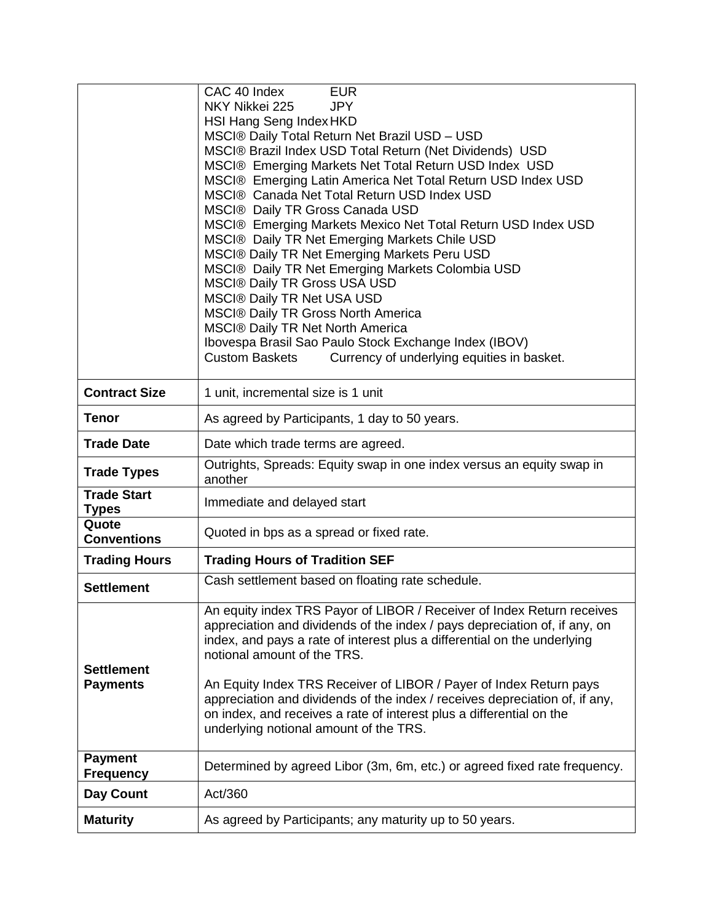|                                    | CAC 40 Index<br><b>EUR</b>                                                                                    |  |
|------------------------------------|---------------------------------------------------------------------------------------------------------------|--|
|                                    | NKY Nikkei 225<br><b>JPY</b>                                                                                  |  |
|                                    | HSI Hang Seng Index HKD                                                                                       |  |
|                                    | MSCI® Daily Total Return Net Brazil USD - USD                                                                 |  |
|                                    | MSCI® Brazil Index USD Total Return (Net Dividends) USD                                                       |  |
|                                    | MSCI® Emerging Markets Net Total Return USD Index USD                                                         |  |
|                                    | MSCI® Emerging Latin America Net Total Return USD Index USD                                                   |  |
|                                    | MSCI® Canada Net Total Return USD Index USD                                                                   |  |
|                                    | MSCI® Daily TR Gross Canada USD                                                                               |  |
|                                    | MSCI® Emerging Markets Mexico Net Total Return USD Index USD<br>MSCI® Daily TR Net Emerging Markets Chile USD |  |
|                                    | MSCI® Daily TR Net Emerging Markets Peru USD                                                                  |  |
|                                    | MSCI® Daily TR Net Emerging Markets Colombia USD                                                              |  |
|                                    | <b>MSCI® Daily TR Gross USA USD</b>                                                                           |  |
|                                    | <b>MSCI® Daily TR Net USA USD</b>                                                                             |  |
|                                    | <b>MSCI® Daily TR Gross North America</b>                                                                     |  |
|                                    | <b>MSCI® Daily TR Net North America</b>                                                                       |  |
|                                    | Ibovespa Brasil Sao Paulo Stock Exchange Index (IBOV)                                                         |  |
|                                    | <b>Custom Baskets</b><br>Currency of underlying equities in basket.                                           |  |
|                                    |                                                                                                               |  |
| <b>Contract Size</b>               | 1 unit, incremental size is 1 unit                                                                            |  |
| <b>Tenor</b>                       | As agreed by Participants, 1 day to 50 years.                                                                 |  |
| <b>Trade Date</b>                  | Date which trade terms are agreed.                                                                            |  |
|                                    |                                                                                                               |  |
| <b>Trade Types</b>                 | Outrights, Spreads: Equity swap in one index versus an equity swap in<br>another                              |  |
| <b>Trade Start</b><br><b>Types</b> | Immediate and delayed start                                                                                   |  |
| Quote<br><b>Conventions</b>        | Quoted in bps as a spread or fixed rate.                                                                      |  |
| <b>Trading Hours</b>               | <b>Trading Hours of Tradition SEF</b>                                                                         |  |
| <b>Settlement</b>                  | Cash settlement based on floating rate schedule.                                                              |  |
|                                    | An equity index TRS Payor of LIBOR / Receiver of Index Return receives                                        |  |
|                                    | appreciation and dividends of the index / pays depreciation of, if any, on                                    |  |
|                                    | index, and pays a rate of interest plus a differential on the underlying                                      |  |
|                                    | notional amount of the TRS.                                                                                   |  |
| <b>Settlement</b>                  |                                                                                                               |  |
| <b>Payments</b>                    | An Equity Index TRS Receiver of LIBOR / Payer of Index Return pays                                            |  |
|                                    | appreciation and dividends of the index / receives depreciation of, if any,                                   |  |
|                                    | on index, and receives a rate of interest plus a differential on the                                          |  |
|                                    | underlying notional amount of the TRS.                                                                        |  |
| <b>Payment</b>                     | Determined by agreed Libor (3m, 6m, etc.) or agreed fixed rate frequency.                                     |  |
| <b>Frequency</b><br>Day Count      | Act/360                                                                                                       |  |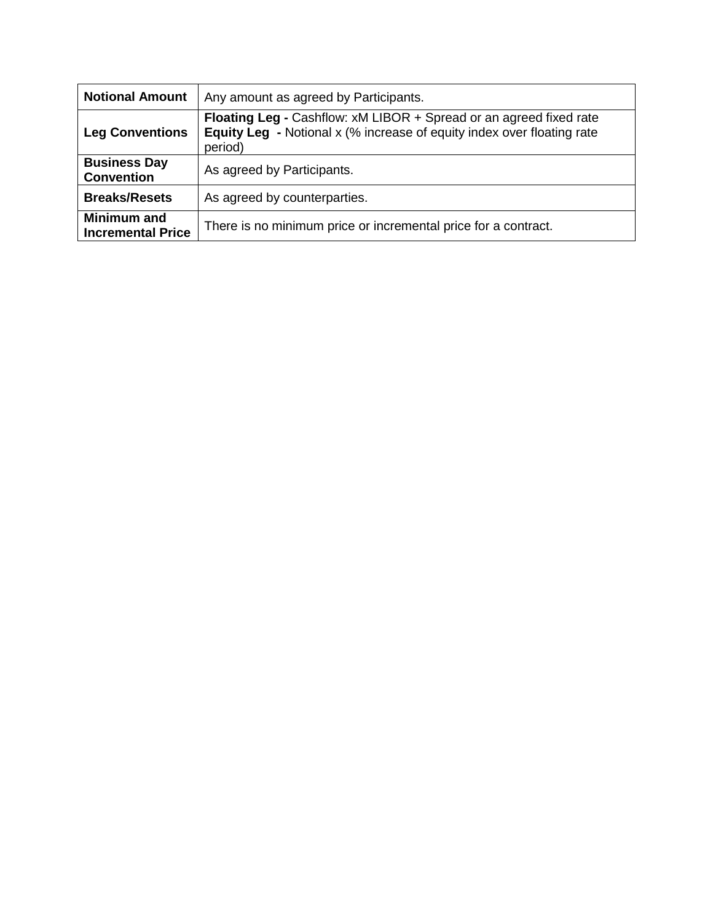| <b>Notional Amount</b>                         | Any amount as agreed by Participants.                                                                                                                          |
|------------------------------------------------|----------------------------------------------------------------------------------------------------------------------------------------------------------------|
| <b>Leg Conventions</b>                         | Floating Leg - Cashflow: xM LIBOR + Spread or an agreed fixed rate<br><b>Equity Leg - Notional x (% increase of equity index over floating rate</b><br>period) |
| <b>Business Day</b><br><b>Convention</b>       | As agreed by Participants.                                                                                                                                     |
| <b>Breaks/Resets</b>                           | As agreed by counterparties.                                                                                                                                   |
| <b>Minimum and</b><br><b>Incremental Price</b> | There is no minimum price or incremental price for a contract.                                                                                                 |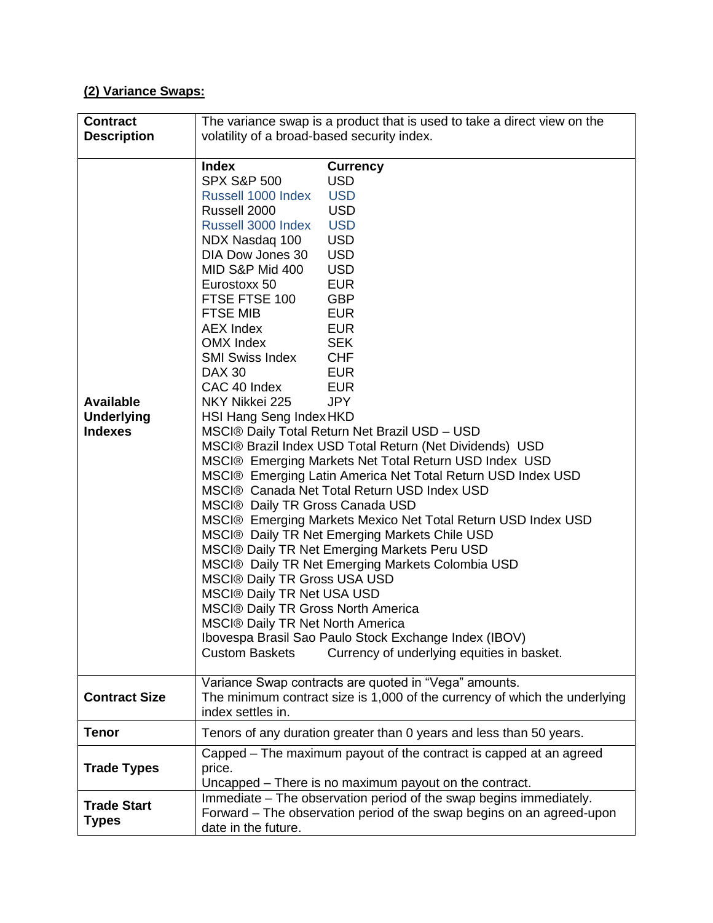## **(2) Variance Swaps:**

| <b>Contract</b>                                         |                                                                                                                                                                                                                                                                                                                                                                                                                                                                                                                                                                                          | The variance swap is a product that is used to take a direct view on the                                                                                                                                                                                                                                                                                                                                                                                                                                                                                                                                                                                                                                                                                                                                                                                       |
|---------------------------------------------------------|------------------------------------------------------------------------------------------------------------------------------------------------------------------------------------------------------------------------------------------------------------------------------------------------------------------------------------------------------------------------------------------------------------------------------------------------------------------------------------------------------------------------------------------------------------------------------------------|----------------------------------------------------------------------------------------------------------------------------------------------------------------------------------------------------------------------------------------------------------------------------------------------------------------------------------------------------------------------------------------------------------------------------------------------------------------------------------------------------------------------------------------------------------------------------------------------------------------------------------------------------------------------------------------------------------------------------------------------------------------------------------------------------------------------------------------------------------------|
| <b>Description</b>                                      | volatility of a broad-based security index.                                                                                                                                                                                                                                                                                                                                                                                                                                                                                                                                              |                                                                                                                                                                                                                                                                                                                                                                                                                                                                                                                                                                                                                                                                                                                                                                                                                                                                |
|                                                         |                                                                                                                                                                                                                                                                                                                                                                                                                                                                                                                                                                                          |                                                                                                                                                                                                                                                                                                                                                                                                                                                                                                                                                                                                                                                                                                                                                                                                                                                                |
| <b>Available</b><br><b>Underlying</b><br><b>Indexes</b> | <b>Index</b><br><b>SPX S&amp;P 500</b><br>Russell 1000 Index<br>Russell 2000<br>Russell 3000 Index<br>NDX Nasdaq 100<br>DIA Dow Jones 30<br>MID S&P Mid 400<br>Eurostoxx 50<br>FTSE FTSE 100<br><b>FTSE MIB</b><br><b>AEX Index</b><br>OMX Index<br><b>SMI Swiss Index</b><br><b>DAX 30</b><br>CAC 40 Index<br>NKY Nikkei 225<br>HSI Hang Seng Index HKD<br><b>MSCI® Daily TR Gross Canada USD</b><br><b>MSCI® Daily TR Gross USA USD</b><br><b>MSCI® Daily TR Net USA USD</b><br><b>MSCI® Daily TR Gross North America</b><br>MSCI® Daily TR Net North America<br><b>Custom Baskets</b> | <b>Currency</b><br><b>USD</b><br><b>USD</b><br><b>USD</b><br><b>USD</b><br><b>USD</b><br><b>USD</b><br><b>USD</b><br><b>EUR</b><br><b>GBP</b><br><b>EUR</b><br><b>EUR</b><br><b>SEK</b><br><b>CHF</b><br><b>EUR</b><br><b>EUR</b><br><b>JPY</b><br>MSCI® Daily Total Return Net Brazil USD - USD<br>MSCI® Brazil Index USD Total Return (Net Dividends) USD<br>MSCI® Emerging Markets Net Total Return USD Index USD<br>MSCI® Emerging Latin America Net Total Return USD Index USD<br>MSCI® Canada Net Total Return USD Index USD<br>MSCI® Emerging Markets Mexico Net Total Return USD Index USD<br>MSCI® Daily TR Net Emerging Markets Chile USD<br>MSCI® Daily TR Net Emerging Markets Peru USD<br>MSCI® Daily TR Net Emerging Markets Colombia USD<br>Ibovespa Brasil Sao Paulo Stock Exchange Index (IBOV)<br>Currency of underlying equities in basket. |
|                                                         |                                                                                                                                                                                                                                                                                                                                                                                                                                                                                                                                                                                          |                                                                                                                                                                                                                                                                                                                                                                                                                                                                                                                                                                                                                                                                                                                                                                                                                                                                |
| <b>Contract Size</b>                                    | index settles in.                                                                                                                                                                                                                                                                                                                                                                                                                                                                                                                                                                        | Variance Swap contracts are quoted in "Vega" amounts.<br>The minimum contract size is 1,000 of the currency of which the underlying                                                                                                                                                                                                                                                                                                                                                                                                                                                                                                                                                                                                                                                                                                                            |
| <b>Tenor</b>                                            |                                                                                                                                                                                                                                                                                                                                                                                                                                                                                                                                                                                          | Tenors of any duration greater than 0 years and less than 50 years.                                                                                                                                                                                                                                                                                                                                                                                                                                                                                                                                                                                                                                                                                                                                                                                            |
| <b>Trade Types</b>                                      | price.                                                                                                                                                                                                                                                                                                                                                                                                                                                                                                                                                                                   | Capped - The maximum payout of the contract is capped at an agreed<br>Uncapped - There is no maximum payout on the contract.                                                                                                                                                                                                                                                                                                                                                                                                                                                                                                                                                                                                                                                                                                                                   |
| <b>Trade Start</b><br><b>Types</b>                      | date in the future.                                                                                                                                                                                                                                                                                                                                                                                                                                                                                                                                                                      | Immediate – The observation period of the swap begins immediately.<br>Forward – The observation period of the swap begins on an agreed-upon                                                                                                                                                                                                                                                                                                                                                                                                                                                                                                                                                                                                                                                                                                                    |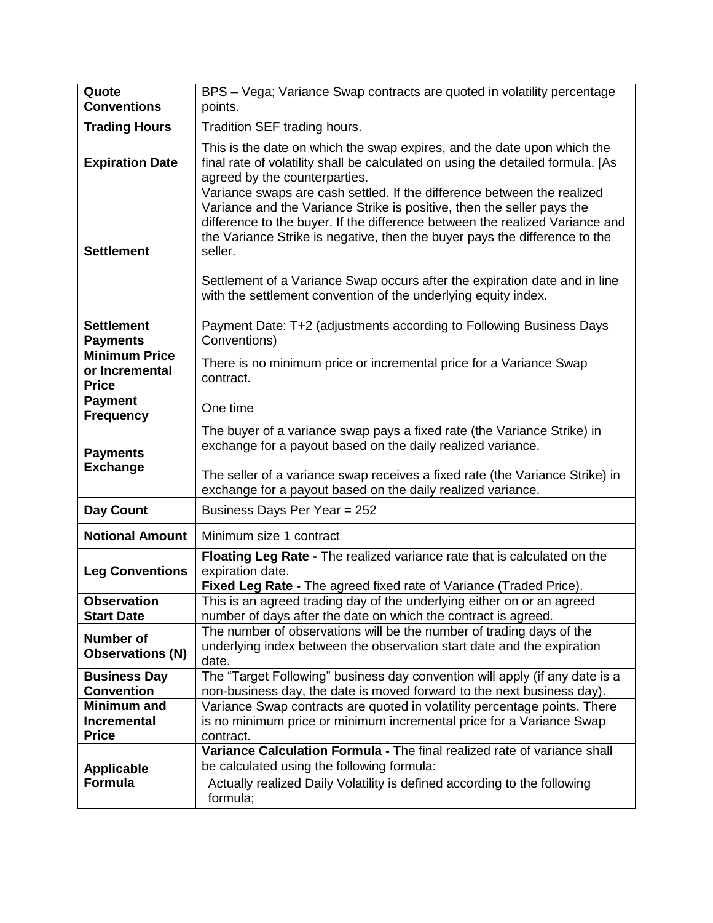| Quote<br><b>Conventions</b>                              | BPS - Vega; Variance Swap contracts are quoted in volatility percentage<br>points.                                                                                                                                                                                                                                                                                                                                                                                         |
|----------------------------------------------------------|----------------------------------------------------------------------------------------------------------------------------------------------------------------------------------------------------------------------------------------------------------------------------------------------------------------------------------------------------------------------------------------------------------------------------------------------------------------------------|
| <b>Trading Hours</b>                                     | Tradition SEF trading hours.                                                                                                                                                                                                                                                                                                                                                                                                                                               |
| <b>Expiration Date</b>                                   | This is the date on which the swap expires, and the date upon which the<br>final rate of volatility shall be calculated on using the detailed formula. [As<br>agreed by the counterparties.                                                                                                                                                                                                                                                                                |
| <b>Settlement</b>                                        | Variance swaps are cash settled. If the difference between the realized<br>Variance and the Variance Strike is positive, then the seller pays the<br>difference to the buyer. If the difference between the realized Variance and<br>the Variance Strike is negative, then the buyer pays the difference to the<br>seller.<br>Settlement of a Variance Swap occurs after the expiration date and in line<br>with the settlement convention of the underlying equity index. |
| <b>Settlement</b><br><b>Payments</b>                     | Payment Date: T+2 (adjustments according to Following Business Days<br>Conventions)                                                                                                                                                                                                                                                                                                                                                                                        |
| <b>Minimum Price</b><br>or Incremental<br><b>Price</b>   | There is no minimum price or incremental price for a Variance Swap<br>contract.                                                                                                                                                                                                                                                                                                                                                                                            |
| <b>Payment</b><br><b>Frequency</b>                       | One time                                                                                                                                                                                                                                                                                                                                                                                                                                                                   |
| <b>Payments</b><br><b>Exchange</b>                       | The buyer of a variance swap pays a fixed rate (the Variance Strike) in<br>exchange for a payout based on the daily realized variance.<br>The seller of a variance swap receives a fixed rate (the Variance Strike) in<br>exchange for a payout based on the daily realized variance.                                                                                                                                                                                      |
| <b>Day Count</b>                                         | Business Days Per Year = 252                                                                                                                                                                                                                                                                                                                                                                                                                                               |
| <b>Notional Amount</b>                                   | Minimum size 1 contract                                                                                                                                                                                                                                                                                                                                                                                                                                                    |
| <b>Leg Conventions</b>                                   | Floating Leg Rate - The realized variance rate that is calculated on the<br>expiration date.<br>Fixed Leg Rate - The agreed fixed rate of Variance (Traded Price).                                                                                                                                                                                                                                                                                                         |
| <b>Observation</b><br><b>Start Date</b>                  | This is an agreed trading day of the underlying either on or an agreed<br>number of days after the date on which the contract is agreed.                                                                                                                                                                                                                                                                                                                                   |
| <b>Number of</b><br><b>Observations (N)</b>              | The number of observations will be the number of trading days of the<br>underlying index between the observation start date and the expiration<br>date.                                                                                                                                                                                                                                                                                                                    |
| <b>Business Day</b><br><b>Convention</b>                 | The "Target Following" business day convention will apply (if any date is a<br>non-business day, the date is moved forward to the next business day).                                                                                                                                                                                                                                                                                                                      |
| <b>Minimum and</b><br><b>Incremental</b><br><b>Price</b> | Variance Swap contracts are quoted in volatility percentage points. There<br>is no minimum price or minimum incremental price for a Variance Swap<br>contract.                                                                                                                                                                                                                                                                                                             |
| <b>Applicable</b><br><b>Formula</b>                      | Variance Calculation Formula - The final realized rate of variance shall<br>be calculated using the following formula:<br>Actually realized Daily Volatility is defined according to the following<br>formula;                                                                                                                                                                                                                                                             |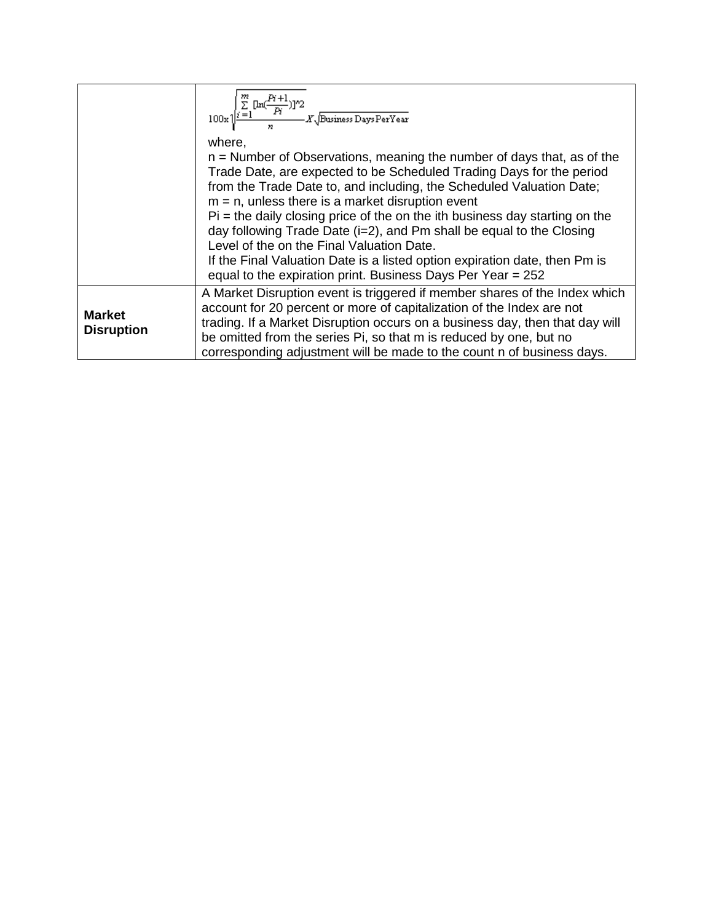|                                    | $100x\sqrt{\sum_{i=1}^{m}\frac{[\ln(\frac{Pr+1}{Pr})]^2}{\sum_{i=1}^{m}X\sqrt{\text{Business DaysPerYear}}}}$                                                                                                                                                                                                                                                                                                                                                                                                                                            |
|------------------------------------|----------------------------------------------------------------------------------------------------------------------------------------------------------------------------------------------------------------------------------------------------------------------------------------------------------------------------------------------------------------------------------------------------------------------------------------------------------------------------------------------------------------------------------------------------------|
|                                    | where.<br>$n =$ Number of Observations, meaning the number of days that, as of the                                                                                                                                                                                                                                                                                                                                                                                                                                                                       |
|                                    | Trade Date, are expected to be Scheduled Trading Days for the period<br>from the Trade Date to, and including, the Scheduled Valuation Date;<br>$m = n$ , unless there is a market disruption event<br>$Pi$ = the daily closing price of the on the ith business day starting on the<br>day following Trade Date (i=2), and Pm shall be equal to the Closing<br>Level of the on the Final Valuation Date.<br>If the Final Valuation Date is a listed option expiration date, then Pm is<br>equal to the expiration print. Business Days Per Year $= 252$ |
|                                    | A Market Disruption event is triggered if member shares of the Index which                                                                                                                                                                                                                                                                                                                                                                                                                                                                               |
| <b>Market</b><br><b>Disruption</b> | account for 20 percent or more of capitalization of the Index are not<br>trading. If a Market Disruption occurs on a business day, then that day will<br>be omitted from the series Pi, so that m is reduced by one, but no<br>corresponding adjustment will be made to the count n of business days.                                                                                                                                                                                                                                                    |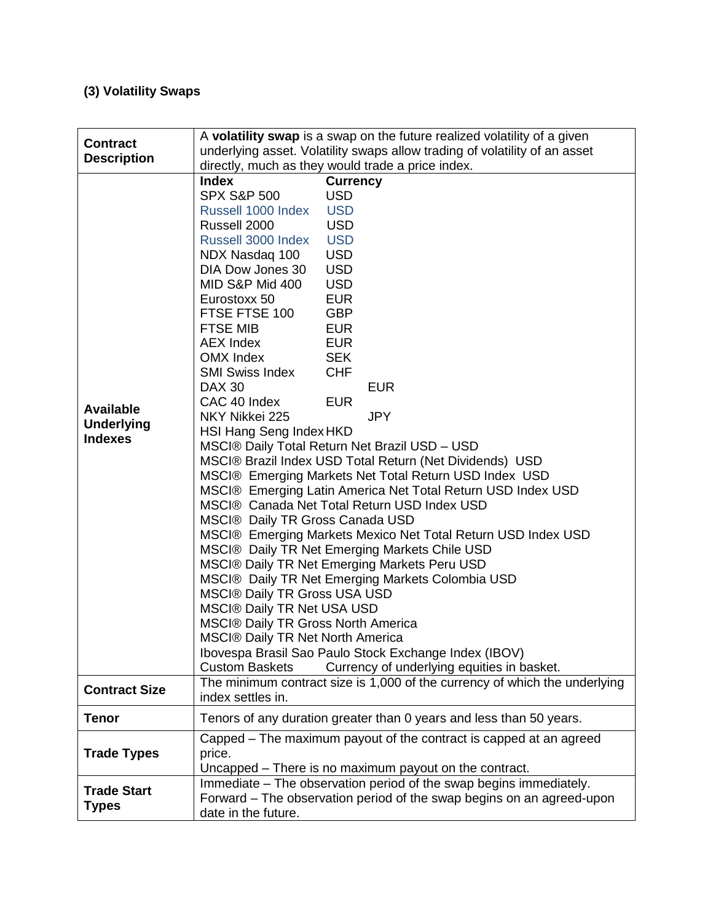# **(3) Volatility Swaps**

| <b>Contract</b>                                         | A volatility swap is a swap on the future realized volatility of a given                                                                                                                                                                                                                                                                                                                                                                                                                                                                                                                                                                                                                                                                                                                                                                                                                                                                                                                                                                                                                                                                                                                                                                                                                                                                                                                                                                                   |  |
|---------------------------------------------------------|------------------------------------------------------------------------------------------------------------------------------------------------------------------------------------------------------------------------------------------------------------------------------------------------------------------------------------------------------------------------------------------------------------------------------------------------------------------------------------------------------------------------------------------------------------------------------------------------------------------------------------------------------------------------------------------------------------------------------------------------------------------------------------------------------------------------------------------------------------------------------------------------------------------------------------------------------------------------------------------------------------------------------------------------------------------------------------------------------------------------------------------------------------------------------------------------------------------------------------------------------------------------------------------------------------------------------------------------------------------------------------------------------------------------------------------------------------|--|
| <b>Description</b>                                      | underlying asset. Volatility swaps allow trading of volatility of an asset                                                                                                                                                                                                                                                                                                                                                                                                                                                                                                                                                                                                                                                                                                                                                                                                                                                                                                                                                                                                                                                                                                                                                                                                                                                                                                                                                                                 |  |
|                                                         | directly, much as they would trade a price index.                                                                                                                                                                                                                                                                                                                                                                                                                                                                                                                                                                                                                                                                                                                                                                                                                                                                                                                                                                                                                                                                                                                                                                                                                                                                                                                                                                                                          |  |
| <b>Available</b><br><b>Underlying</b><br><b>Indexes</b> | <b>Currency</b><br><b>Index</b><br><b>SPX S&amp;P 500</b><br><b>USD</b><br><b>USD</b><br>Russell 1000 Index<br>Russell 2000<br><b>USD</b><br><b>USD</b><br>Russell 3000 Index<br><b>USD</b><br>NDX Nasdaq 100<br><b>USD</b><br>DIA Dow Jones 30<br>MID S&P Mid 400<br><b>USD</b><br>Eurostoxx 50<br><b>EUR</b><br><b>GBP</b><br>FTSE FTSE 100<br><b>FTSE MIB</b><br><b>EUR</b><br><b>AEX Index</b><br><b>EUR</b><br>OMX Index<br><b>SEK</b><br><b>SMI Swiss Index</b><br><b>CHF</b><br><b>EUR</b><br><b>DAX 30</b><br>CAC 40 Index<br><b>EUR</b><br><b>JPY</b><br>NKY Nikkei 225<br>HSI Hang Seng Index HKD<br>MSCI® Daily Total Return Net Brazil USD - USD<br>MSCI® Brazil Index USD Total Return (Net Dividends) USD<br>MSCI® Emerging Markets Net Total Return USD Index USD<br>MSCI® Emerging Latin America Net Total Return USD Index USD<br>MSCI® Canada Net Total Return USD Index USD<br>MSCI® Daily TR Gross Canada USD<br>MSCI® Emerging Markets Mexico Net Total Return USD Index USD<br>MSCI® Daily TR Net Emerging Markets Chile USD<br>MSCI® Daily TR Net Emerging Markets Peru USD<br>MSCI® Daily TR Net Emerging Markets Colombia USD<br><b>MSCI® Daily TR Gross USA USD</b><br><b>MSCI® Daily TR Net USA USD</b><br><b>MSCI® Daily TR Gross North America</b><br><b>MSCI® Daily TR Net North America</b><br>Ibovespa Brasil Sao Paulo Stock Exchange Index (IBOV)<br>Currency of underlying equities in basket.<br><b>Custom Baskets</b> |  |
| <b>Contract Size</b>                                    | The minimum contract size is 1,000 of the currency of which the underlying<br>index settles in.                                                                                                                                                                                                                                                                                                                                                                                                                                                                                                                                                                                                                                                                                                                                                                                                                                                                                                                                                                                                                                                                                                                                                                                                                                                                                                                                                            |  |
| <b>Tenor</b>                                            | Tenors of any duration greater than 0 years and less than 50 years.                                                                                                                                                                                                                                                                                                                                                                                                                                                                                                                                                                                                                                                                                                                                                                                                                                                                                                                                                                                                                                                                                                                                                                                                                                                                                                                                                                                        |  |
| <b>Trade Types</b>                                      | Capped - The maximum payout of the contract is capped at an agreed<br>price.<br>Uncapped - There is no maximum payout on the contract.                                                                                                                                                                                                                                                                                                                                                                                                                                                                                                                                                                                                                                                                                                                                                                                                                                                                                                                                                                                                                                                                                                                                                                                                                                                                                                                     |  |
| <b>Trade Start</b><br><b>Types</b>                      | Immediate - The observation period of the swap begins immediately.<br>Forward – The observation period of the swap begins on an agreed-upon<br>date in the future.                                                                                                                                                                                                                                                                                                                                                                                                                                                                                                                                                                                                                                                                                                                                                                                                                                                                                                                                                                                                                                                                                                                                                                                                                                                                                         |  |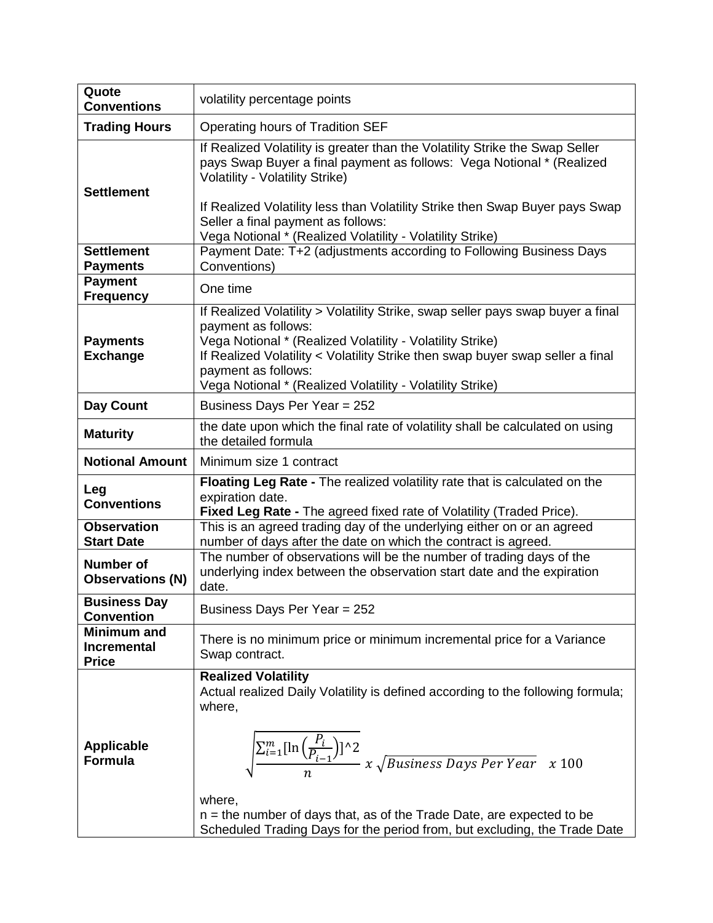| Quote<br><b>Conventions</b>                              | volatility percentage points                                                                                                                                                                                                                                                                                                                                                                                              |
|----------------------------------------------------------|---------------------------------------------------------------------------------------------------------------------------------------------------------------------------------------------------------------------------------------------------------------------------------------------------------------------------------------------------------------------------------------------------------------------------|
| <b>Trading Hours</b>                                     | Operating hours of Tradition SEF                                                                                                                                                                                                                                                                                                                                                                                          |
| <b>Settlement</b>                                        | If Realized Volatility is greater than the Volatility Strike the Swap Seller<br>pays Swap Buyer a final payment as follows: Vega Notional * (Realized<br><b>Volatility - Volatility Strike)</b><br>If Realized Volatility less than Volatility Strike then Swap Buyer pays Swap<br>Seller a final payment as follows:                                                                                                     |
| <b>Settlement</b>                                        | Vega Notional * (Realized Volatility - Volatility Strike)<br>Payment Date: T+2 (adjustments according to Following Business Days                                                                                                                                                                                                                                                                                          |
| <b>Payments</b>                                          | Conventions)                                                                                                                                                                                                                                                                                                                                                                                                              |
| <b>Payment</b><br><b>Frequency</b>                       | One time                                                                                                                                                                                                                                                                                                                                                                                                                  |
| <b>Payments</b><br><b>Exchange</b>                       | If Realized Volatility > Volatility Strike, swap seller pays swap buyer a final<br>payment as follows:<br>Vega Notional * (Realized Volatility - Volatility Strike)<br>If Realized Volatility < Volatility Strike then swap buyer swap seller a final<br>payment as follows:<br>Vega Notional * (Realized Volatility - Volatility Strike)                                                                                 |
| Day Count                                                | Business Days Per Year = 252                                                                                                                                                                                                                                                                                                                                                                                              |
| <b>Maturity</b>                                          | the date upon which the final rate of volatility shall be calculated on using<br>the detailed formula                                                                                                                                                                                                                                                                                                                     |
| <b>Notional Amount</b>                                   | Minimum size 1 contract                                                                                                                                                                                                                                                                                                                                                                                                   |
| Leg<br><b>Conventions</b>                                | Floating Leg Rate - The realized volatility rate that is calculated on the<br>expiration date.<br>Fixed Leg Rate - The agreed fixed rate of Volatility (Traded Price).                                                                                                                                                                                                                                                    |
| <b>Observation</b><br><b>Start Date</b>                  | This is an agreed trading day of the underlying either on or an agreed<br>number of days after the date on which the contract is agreed.                                                                                                                                                                                                                                                                                  |
| Number of<br><b>Observations (N)</b>                     | The number of observations will be the number of trading days of the<br>underlying index between the observation start date and the expiration<br>date.                                                                                                                                                                                                                                                                   |
| <b>Business Day</b><br><b>Convention</b>                 | Business Days Per Year = 252                                                                                                                                                                                                                                                                                                                                                                                              |
| <b>Minimum and</b><br><b>Incremental</b><br><b>Price</b> | There is no minimum price or minimum incremental price for a Variance<br>Swap contract.                                                                                                                                                                                                                                                                                                                                   |
| <b>Applicable</b><br><b>Formula</b>                      | <b>Realized Volatility</b><br>Actual realized Daily Volatility is defined according to the following formula;<br>where,<br>$\sqrt{\frac{\sum_{i=1}^{m} [\ln\left(\frac{P_i}{P_{i-1}}\right)]^2}{n}} x \sqrt{Business \ Days \ Person \ Year \ x \ 100}$<br>where,<br>$n =$ the number of days that, as of the Trade Date, are expected to be<br>Scheduled Trading Days for the period from, but excluding, the Trade Date |